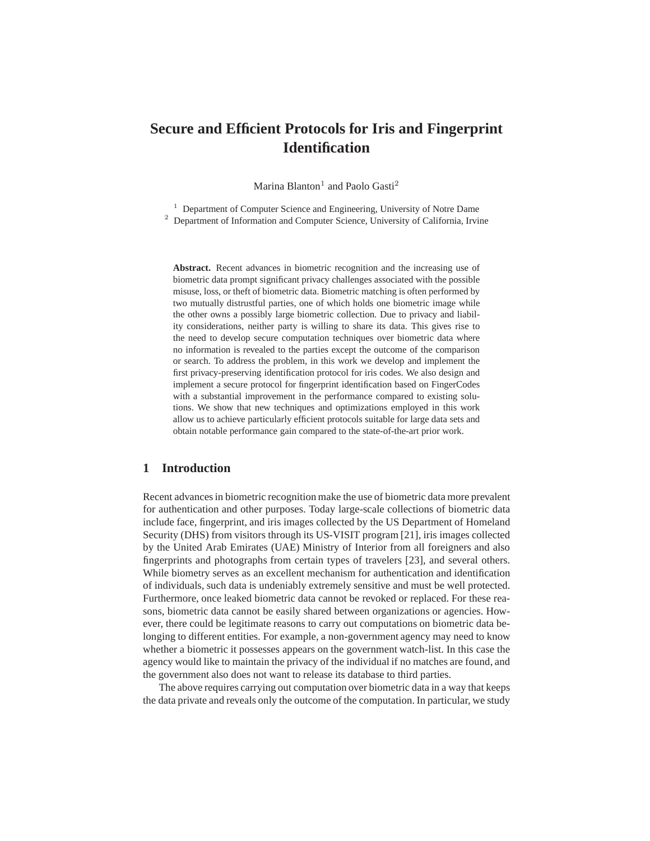# **Secure and Efficient Protocols for Iris and Fingerprint Identification**

Marina Blanton $^1$  and Paolo Gasti $^2$ 

 $1$  Department of Computer Science and Engineering, University of Notre Dame  $2$  Department of Information and Computer Science, University of California, Irvine

**Abstract.** Recent advances in biometric recognition and the increasing use of biometric data prompt significant privacy challenges associated with the possible misuse, loss, or theft of biometric data. Biometric matching is often performed by two mutually distrustful parties, one of which holds one biometric image while the other owns a possibly large biometric collection. Due to privacy and liability considerations, neither party is willing to share its data. This gives rise to the need to develop secure computation techniques over biometric data where no information is revealed to the parties except the outcome of the comparison or search. To address the problem, in this work we develop and implement the first privacy-preserving identification protocol for iris codes. We also design and implement a secure protocol for fingerprint identification based on FingerCodes with a substantial improvement in the performance compared to existing solutions. We show that new techniques and optimizations employed in this work allow us to achieve particularly efficient protocols suitable for large data sets and obtain notable performance gain compared to the state-of-the-art prior work.

# **1 Introduction**

Recent advances in biometric recognition make the use of biometric data more prevalent for authentication and other purposes. Today large-scale collections of biometric data include face, fingerprint, and iris images collected by the US Department of Homeland Security (DHS) from visitors through its US-VISIT program [21], iris images collected by the United Arab Emirates (UAE) Ministry of Interior from all foreigners and also fingerprints and photographs from certain types of travelers [23], and several others. While biometry serves as an excellent mechanism for authentication and identification of individuals, such data is undeniably extremely sensitive and must be well protected. Furthermore, once leaked biometric data cannot be revoked or replaced. For these reasons, biometric data cannot be easily shared between organizations or agencies. However, there could be legitimate reasons to carry out computations on biometric data belonging to different entities. For example, a non-government agency may need to know whether a biometric it possesses appears on the government watch-list. In this case the agency would like to maintain the privacy of the individual if no matches are found, and the government also does not want to release its database to third parties.

The above requires carrying out computation over biometric data in a way that keeps the data private and reveals only the outcome of the computation. In particular, we study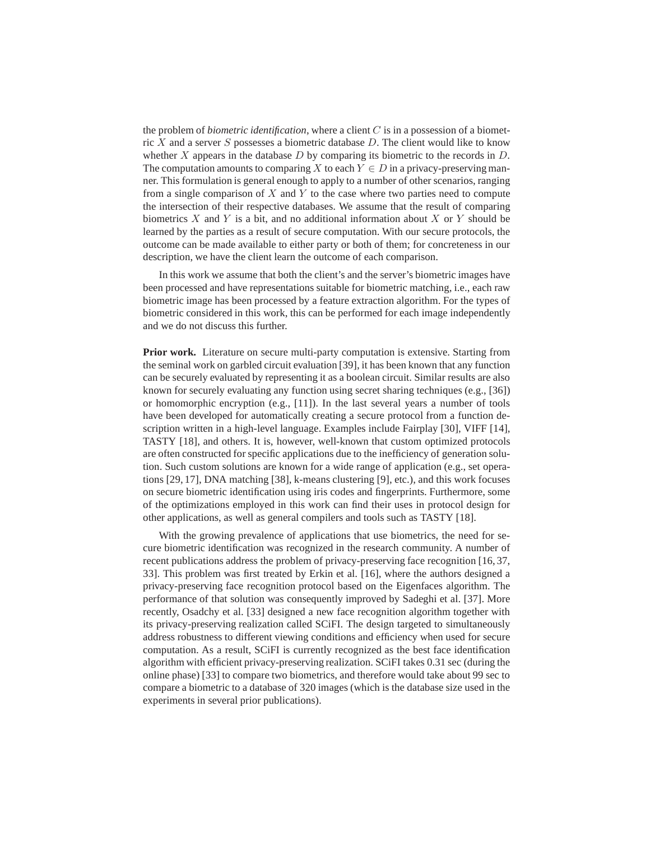the problem of *biometric identification*, where a client C is in a possession of a biometric X and a server S possesses a biometric database D. The client would like to know whether X appears in the database  $D$  by comparing its biometric to the records in  $D$ . The computation amounts to comparing X to each  $Y \in D$  in a privacy-preserving manner. This formulation is general enough to apply to a number of other scenarios, ranging from a single comparison of  $X$  and  $Y$  to the case where two parties need to compute the intersection of their respective databases. We assume that the result of comparing biometrics X and Y is a bit, and no additional information about X or Y should be learned by the parties as a result of secure computation. With our secure protocols, the outcome can be made available to either party or both of them; for concreteness in our description, we have the client learn the outcome of each comparison.

In this work we assume that both the client's and the server's biometric images have been processed and have representations suitable for biometric matching, i.e., each raw biometric image has been processed by a feature extraction algorithm. For the types of biometric considered in this work, this can be performed for each image independently and we do not discuss this further.

**Prior work.** Literature on secure multi-party computation is extensive. Starting from the seminal work on garbled circuit evaluation [39], it has been known that any function can be securely evaluated by representing it as a boolean circuit. Similar results are also known for securely evaluating any function using secret sharing techniques (e.g., [36]) or homomorphic encryption (e.g., [11]). In the last several years a number of tools have been developed for automatically creating a secure protocol from a function description written in a high-level language. Examples include Fairplay [30], VIFF [14], TASTY [18], and others. It is, however, well-known that custom optimized protocols are often constructed for specific applications due to the inefficiency of generation solution. Such custom solutions are known for a wide range of application (e.g., set operations [29, 17], DNA matching [38], k-means clustering [9], etc.), and this work focuses on secure biometric identification using iris codes and fingerprints. Furthermore, some of the optimizations employed in this work can find their uses in protocol design for other applications, as well as general compilers and tools such as TASTY [18].

With the growing prevalence of applications that use biometrics, the need for secure biometric identification was recognized in the research community. A number of recent publications address the problem of privacy-preserving face recognition [16, 37, 33]. This problem was first treated by Erkin et al. [16], where the authors designed a privacy-preserving face recognition protocol based on the Eigenfaces algorithm. The performance of that solution was consequently improved by Sadeghi et al. [37]. More recently, Osadchy et al. [33] designed a new face recognition algorithm together with its privacy-preserving realization called SCiFI. The design targeted to simultaneously address robustness to different viewing conditions and efficiency when used for secure computation. As a result, SCiFI is currently recognized as the best face identification algorithm with efficient privacy-preserving realization. SCiFI takes 0.31 sec (during the online phase) [33] to compare two biometrics, and therefore would take about 99 sec to compare a biometric to a database of 320 images (which is the database size used in the experiments in several prior publications).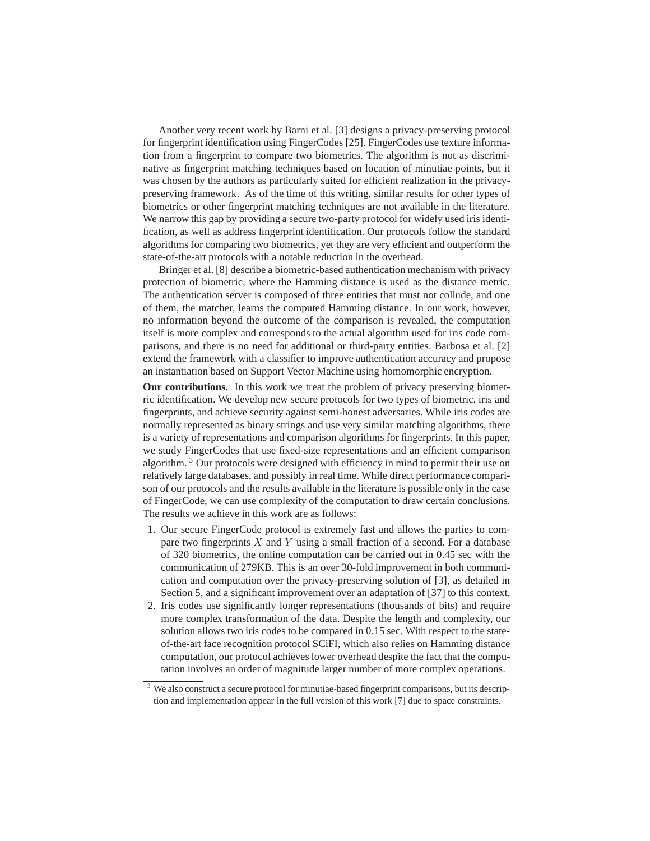Another very recent work by Barni et al. [3] designs a privacy-preserving protocol for fingerprint identification using FingerCodes [25]. FingerCodes use texture information from a fingerprint to compare two biometrics. The algorithm is not as discriminative as fingerprint matching techniques based on location of minutiae points, but it was chosen by the authors as particularly suited for efficient realization in the privacypreserving framework. As of the time of this writing, similar results for other types of biometrics or other fingerprint matching techniques are not available in the literature. We narrow this gap by providing a secure two-party protocol for widely used iris identification, as well as address fingerprint identification. Our protocols follow the standard algorithms for comparing two biometrics, yet they are very efficient and outperform the state-of-the-art protocols with a notable reduction in the overhead.

Bringer et al. [8] describe a biometric-based authentication mechanism with privacy protection of biometric, where the Hamming distance is used as the distance metric. The authentication server is composed of three entities that must not collude, and one of them, the matcher, learns the computed Hamming distance. In our work, however, no information beyond the outcome of the comparison is revealed, the computation itself is more complex and corresponds to the actual algorithm used for iris code comparisons, and there is no need for additional or third-party entities. Barbosa et al. [2] extend the framework with a classifier to improve authentication accuracy and propose an instantiation based on Support Vector Machine using homomorphic encryption.

**Our contributions.** In this work we treat the problem of privacy preserving biometric identification. We develop new secure protocols for two types of biometric, iris and fingerprints, and achieve security against semi-honest adversaries. While iris codes are normally represented as binary strings and use very similar matching algorithms, there is a variety of representations and comparison algorithms for fingerprints. In this paper, we study FingerCodes that use fixed-size representations and an efficient comparison algorithm.  $3$  Our protocols were designed with efficiency in mind to permit their use on relatively large databases, and possibly in real time. While direct performance comparison of our protocols and the results available in the literature is possible only in the case of FingerCode, we can use complexity of the computation to draw certain conclusions. The results we achieve in this work are as follows:

- 1. Our secure FingerCode protocol is extremely fast and allows the parties to compare two fingerprints  $X$  and  $Y$  using a small fraction of a second. For a database of 320 biometrics, the online computation can be carried out in 0.45 sec with the communication of 279KB. This is an over 30-fold improvement in both communication and computation over the privacy-preserving solution of [3], as detailed in Section 5, and a significant improvement over an adaptation of [37] to this context.
- 2. Iris codes use significantly longer representations (thousands of bits) and require more complex transformation of the data. Despite the length and complexity, our solution allows two iris codes to be compared in 0.15 sec. With respect to the stateof-the-art face recognition protocol SCiFI, which also relies on Hamming distance computation, our protocol achieves lower overhead despite the fact that the computation involves an order of magnitude larger number of more complex operations.

<sup>&</sup>lt;sup>3</sup> We also construct a secure protocol for minutiae-based fingerprint comparisons, but its description and implementation appear in the full version of this work [7] due to space constraints.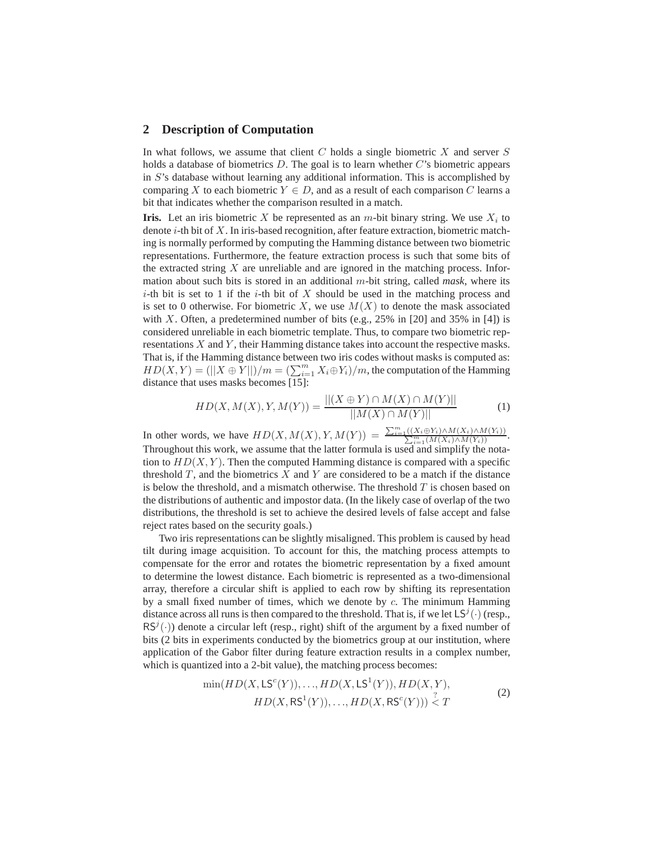## **2 Description of Computation**

In what follows, we assume that client  $C$  holds a single biometric  $X$  and server  $S$ holds a database of biometrics  $D$ . The goal is to learn whether  $C$ 's biometric appears in S's database without learning any additional information. This is accomplished by comparing X to each biometric  $Y \in D$ , and as a result of each comparison C learns a bit that indicates whether the comparison resulted in a match.

**Iris.** Let an iris biometric X be represented as an  $m$ -bit binary string. We use  $X_i$  to denote i-th bit of X. In iris-based recognition, after feature extraction, biometric matching is normally performed by computing the Hamming distance between two biometric representations. Furthermore, the feature extraction process is such that some bits of the extracted string  $X$  are unreliable and are ignored in the matching process. Information about such bits is stored in an additional m-bit string, called *mask*, where its *i*-th bit is set to 1 if the *i*-th bit of X should be used in the matching process and is set to 0 otherwise. For biometric X, we use  $M(X)$  to denote the mask associated with X. Often, a predetermined number of bits (e.g.,  $25\%$  in [20] and  $35\%$  in [4]) is considered unreliable in each biometric template. Thus, to compare two biometric representations X and Y , their Hamming distance takes into account the respective masks. That is, if the Hamming distance between two iris codes without masks is computed as:  $HD(X, Y) = (||X \oplus Y||)/m = (\sum_{i=1}^{m} X_i \oplus Y_i)/m$ , the computation of the Hamming distance that uses masks becomes [15]:

$$
HD(X, M(X), Y, M(Y)) = \frac{||(X \oplus Y) \cap M(X) \cap M(Y)||}{||M(X) \cap M(Y)||} \tag{1}
$$

In other words, we have HD(X, M(X), Y, M(Y )) = P<sup>m</sup> i=1P  $\frac{((X_i \oplus Y_i) \wedge M(X_i) \wedge M(Y_i))}{\sum_{i=1}^m (M(X_i) \wedge M(Y_i))}.$ Throughout this work, we assume that the latter formula is used and simplify the notation to  $HD(X, Y)$ . Then the computed Hamming distance is compared with a specific threshold  $T$ , and the biometrics  $X$  and  $Y$  are considered to be a match if the distance is below the threshold, and a mismatch otherwise. The threshold  $T$  is chosen based on the distributions of authentic and impostor data. (In the likely case of overlap of the two distributions, the threshold is set to achieve the desired levels of false accept and false reject rates based on the security goals.)

Two iris representations can be slightly misaligned. This problem is caused by head tilt during image acquisition. To account for this, the matching process attempts to compensate for the error and rotates the biometric representation by a fixed amount to determine the lowest distance. Each biometric is represented as a two-dimensional array, therefore a circular shift is applied to each row by shifting its representation by a small fixed number of times, which we denote by  $c$ . The minimum Hamming distance across all runs is then compared to the threshold. That is, if we let  $LS^{j}(\cdot)$  (resp.,  $RS^{j}(\cdot)$ ) denote a circular left (resp., right) shift of the argument by a fixed number of bits (2 bits in experiments conducted by the biometrics group at our institution, where application of the Gabor filter during feature extraction results in a complex number, which is quantized into a 2-bit value), the matching process becomes:

$$
\min(HD(X, \mathsf{LS}^c(Y)), \dots, HD(X, \mathsf{LS}^1(Y)), HD(X, Y), \nHD(X, \mathsf{RS}^1(Y)), \dots, HD(X, \mathsf{RS}^c(Y))) \stackrel{?}{\leq} T
$$
\n(2)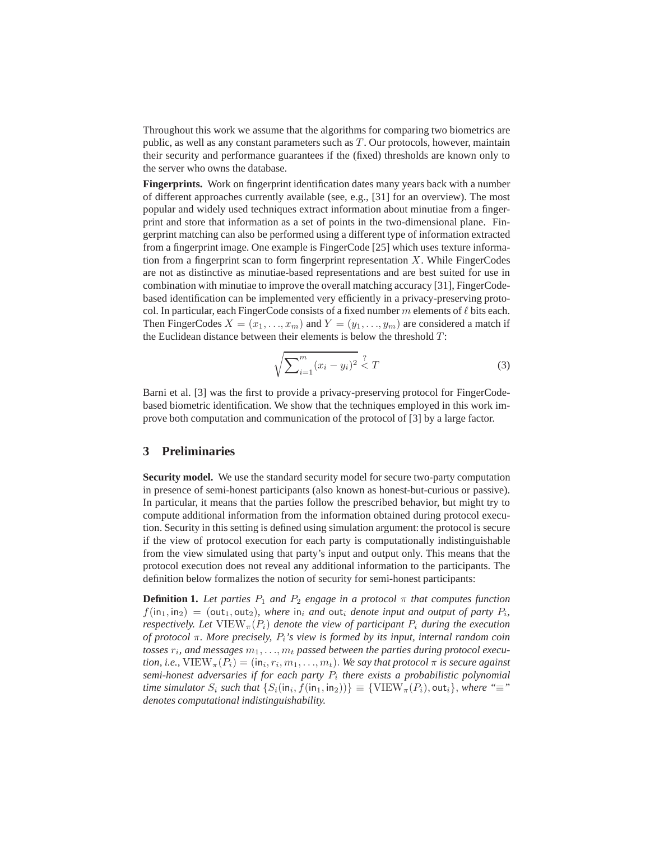Throughout this work we assume that the algorithms for comparing two biometrics are public, as well as any constant parameters such as  $T$ . Our protocols, however, maintain their security and performance guarantees if the (fixed) thresholds are known only to the server who owns the database.

**Fingerprints.** Work on fingerprint identification dates many years back with a number of different approaches currently available (see, e.g., [31] for an overview). The most popular and widely used techniques extract information about minutiae from a fingerprint and store that information as a set of points in the two-dimensional plane. Fingerprint matching can also be performed using a different type of information extracted from a fingerprint image. One example is FingerCode [25] which uses texture information from a fingerprint scan to form fingerprint representation  $X$ . While FingerCodes are not as distinctive as minutiae-based representations and are best suited for use in combination with minutiae to improve the overall matching accuracy [31], FingerCodebased identification can be implemented very efficiently in a privacy-preserving protocol. In particular, each FingerCode consists of a fixed number m elements of  $\ell$  bits each. Then FingerCodes  $X = (x_1, \ldots, x_m)$  and  $Y = (y_1, \ldots, y_m)$  are considered a match if the Euclidean distance between their elements is below the threshold  $T$ :

$$
\sqrt{\sum_{i=1}^{m} (x_i - y_i)^2} \stackrel{?}{\leq} T \tag{3}
$$

Barni et al. [3] was the first to provide a privacy-preserving protocol for FingerCodebased biometric identification. We show that the techniques employed in this work improve both computation and communication of the protocol of [3] by a large factor.

## **3 Preliminaries**

**Security model.** We use the standard security model for secure two-party computation in presence of semi-honest participants (also known as honest-but-curious or passive). In particular, it means that the parties follow the prescribed behavior, but might try to compute additional information from the information obtained during protocol execution. Security in this setting is defined using simulation argument: the protocol is secure if the view of protocol execution for each party is computationally indistinguishable from the view simulated using that party's input and output only. This means that the protocol execution does not reveal any additional information to the participants. The definition below formalizes the notion of security for semi-honest participants:

**Definition 1.** Let parties  $P_1$  and  $P_2$  engage in a protocol  $\pi$  that computes function  $f(in_1, in_2) = (out_1, out_2)$ , where  $in_i$  and out<sub>i</sub> denote input and output of party  $P_i$ , *respectively. Let*  $VIEW_{\pi}(P_i)$  *denote the view of participant*  $P_i$  *during the execution of protocol* π*. More precisely,* Pi*'s view is formed by its input, internal random coin* tosses  $r_i$ , and messages  $m_1, \ldots, m_t$  passed between the parties during protocol execu*tion, i.e.,*  $\text{VIEW}_{\pi}(P_i) = (\text{in}_i, r_i, m_1, \ldots, m_t)$ . *We say that protocol*  $\pi$  *is secure against semi-honest adversaries if for each party* P<sup>i</sup> *there exists a probabilistic polynomial time simulator*  $S_i$  *such that*  $\{S_i(\text{in}_i, f(\text{in}_1, \text{in}_2))\} \equiv \{\text{VIEW}_{\pi}(P_i), \text{out}_i\}, \text{where } \text{``}\equiv \text{''}$ *denotes computational indistinguishability.*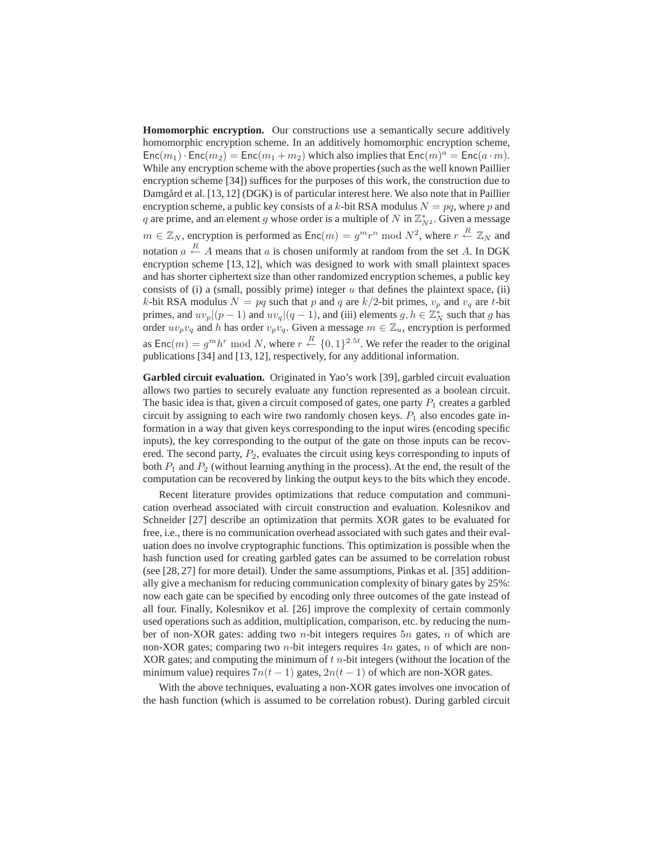**Homomorphic encryption.** Our constructions use a semantically secure additively homomorphic encryption scheme. In an additively homomorphic encryption scheme,  $Enc(m_1) \cdot Enc(m_2) = Enc(m_1 + m_2)$  which also implies that  $Enc(m)^a = Enc(a \cdot m)$ . While any encryption scheme with the above properties (such as the well known Paillier encryption scheme [34]) suffices for the purposes of this work, the construction due to Damgård et al. [13, 12] (DGK) is of particular interest here. We also note that in Paillier encryption scheme, a public key consists of a k-bit RSA modulus  $N = pq$ , where p and q are prime, and an element g whose order is a multiple of N in  $\mathbb{Z}_{N^2}^*$ . Given a message  $m \in \mathbb{Z}_N$ , encryption is performed as  $\mathsf{Enc}(m) = g^m r^n \bmod N^2$ , where  $r \stackrel{R}{\leftarrow} \mathbb{Z}_N$  and notation  $a \stackrel{R}{\leftarrow} A$  means that  $a$  is chosen uniformly at random from the set A. In DGK encryption scheme [13, 12], which was designed to work with small plaintext spaces and has shorter ciphertext size than other randomized encryption schemes, a public key consists of (i) a (small, possibly prime) integer  $u$  that defines the plaintext space, (ii) k-bit RSA modulus  $N = pq$  such that p and q are  $k/2$ -bit primes,  $v_p$  and  $v_q$  are t-bit primes, and  $uv_p|(p-1)$  and  $uv_q|(q-1)$ , and (iii) elements  $g, h \in \mathbb{Z}_N^*$  such that g has order  $uv_pv_q$  and h has order  $v_pv_q$ . Given a message  $m \in \mathbb{Z}_u$ , encryption is performed as  $Enc(m) = g^m h^r \mod N$ , where  $r \stackrel{R}{\leftarrow} \{0,1\}^{2.5t}$ . We refer the reader to the original publications [34] and [13, 12], respectively, for any additional information.

**Garbled circuit evaluation.** Originated in Yao's work [39], garbled circuit evaluation allows two parties to securely evaluate any function represented as a boolean circuit. The basic idea is that, given a circuit composed of gates, one party  $P_1$  creates a garbled circuit by assigning to each wire two randomly chosen keys.  $P_1$  also encodes gate information in a way that given keys corresponding to the input wires (encoding specific inputs), the key corresponding to the output of the gate on those inputs can be recovered. The second party,  $P_2$ , evaluates the circuit using keys corresponding to inputs of both  $P_1$  and  $P_2$  (without learning anything in the process). At the end, the result of the computation can be recovered by linking the output keys to the bits which they encode.

Recent literature provides optimizations that reduce computation and communication overhead associated with circuit construction and evaluation. Kolesnikov and Schneider [27] describe an optimization that permits XOR gates to be evaluated for free, i.e., there is no communication overhead associated with such gates and their evaluation does no involve cryptographic functions. This optimization is possible when the hash function used for creating garbled gates can be assumed to be correlation robust (see [28, 27] for more detail). Under the same assumptions, Pinkas et al. [35] additionally give a mechanism for reducing communication complexity of binary gates by 25%: now each gate can be specified by encoding only three outcomes of the gate instead of all four. Finally, Kolesnikov et al. [26] improve the complexity of certain commonly used operations such as addition, multiplication, comparison, etc. by reducing the number of non-XOR gates: adding two *n*-bit integers requires  $5n$  gates, *n* of which are non-XOR gates; comparing two *n*-bit integers requires  $4n$  gates, *n* of which are non-XOR gates; and computing the minimum of  $t$  *n*-bit integers (without the location of the minimum value) requires  $7n(t-1)$  gates,  $2n(t-1)$  of which are non-XOR gates.

With the above techniques, evaluating a non-XOR gates involves one invocation of the hash function (which is assumed to be correlation robust). During garbled circuit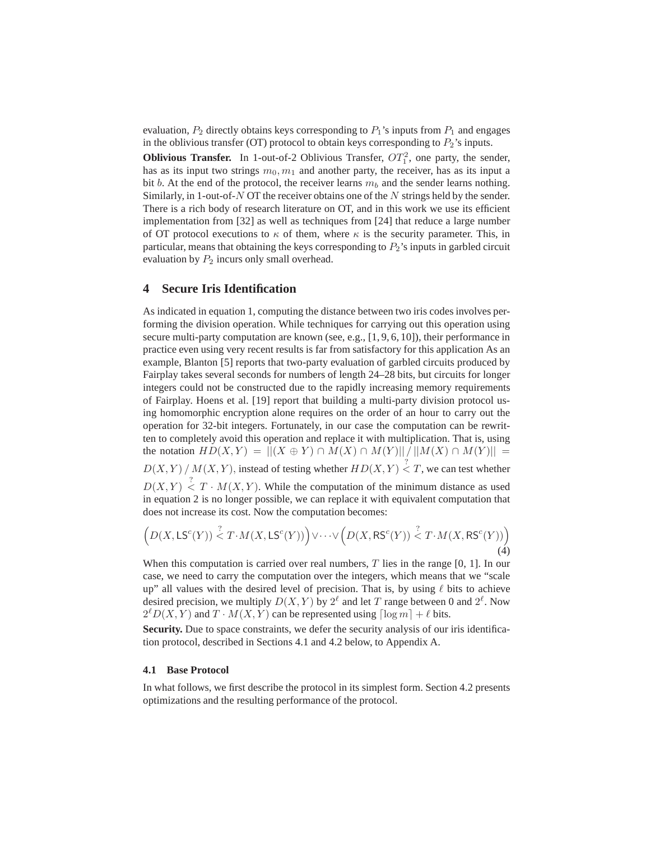evaluation,  $P_2$  directly obtains keys corresponding to  $P_1$ 's inputs from  $P_1$  and engages in the oblivious transfer (OT) protocol to obtain keys corresponding to  $P_2$ 's inputs.

**Oblivious Transfer.** In 1-out-of-2 Oblivious Transfer,  $OT_1^2$ , one party, the sender, has as its input two strings  $m_0, m_1$  and another party, the receiver, has as its input a bit b. At the end of the protocol, the receiver learns  $m_b$  and the sender learns nothing. Similarly, in 1-out-of-N OT the receiver obtains one of the N strings held by the sender. There is a rich body of research literature on OT, and in this work we use its efficient implementation from [32] as well as techniques from [24] that reduce a large number of OT protocol executions to  $\kappa$  of them, where  $\kappa$  is the security parameter. This, in particular, means that obtaining the keys corresponding to  $P_2$ 's inputs in garbled circuit evaluation by  $P_2$  incurs only small overhead.

## **4 Secure Iris Identification**

As indicated in equation 1, computing the distance between two iris codes involves performing the division operation. While techniques for carrying out this operation using secure multi-party computation are known (see, e.g., [1, 9, 6, 10]), their performance in practice even using very recent results is far from satisfactory for this application As an example, Blanton [5] reports that two-party evaluation of garbled circuits produced by Fairplay takes several seconds for numbers of length 24–28 bits, but circuits for longer integers could not be constructed due to the rapidly increasing memory requirements of Fairplay. Hoens et al. [19] report that building a multi-party division protocol using homomorphic encryption alone requires on the order of an hour to carry out the operation for 32-bit integers. Fortunately, in our case the computation can be rewritten to completely avoid this operation and replace it with multiplication. That is, using the notation  $HD(X, Y) = \left| \left| \left( X \oplus Y \right) \cap M(X) \cap M(Y) \right| \right| / \left| \left| M(X) \cap M(Y) \right| \right| =$  $D(X, Y) / M(X, Y)$ , instead of testing whether  $HD(X, Y) \nvert_{Y}^2$ , we can test whether  $D(X,Y) \stackrel{?}{\leq} T \cdot M(X,Y)$ . While the computation of the minimum distance as used in equation 2 is no longer possible, we can replace it with equivalent computation that does not increase its cost. Now the computation becomes:

$$
\left(D(X, \mathsf{LS}^c(Y)) \stackrel{?}{\leq} T \cdot M(X, \mathsf{LS}^c(Y))\right) \vee \dots \vee \left(D(X, \mathsf{RS}^c(Y)) \stackrel{?}{\leq} T \cdot M(X, \mathsf{RS}^c(Y))\right) \tag{4}
$$

When this computation is carried over real numbers,  $T$  lies in the range [0, 1]. In our case, we need to carry the computation over the integers, which means that we "scale up" all values with the desired level of precision. That is, by using  $\ell$  bits to achieve desired precision, we multiply  $D(X, Y)$  by  $2^{\ell}$  and let T range between 0 and  $2^{\ell}$ . Now  $2^{\ell}D(X,Y)$  and  $T \cdot M(X,Y)$  can be represented using  $\lceil \log m \rceil + \ell$  bits.

Security. Due to space constraints, we defer the security analysis of our iris identification protocol, described in Sections 4.1 and 4.2 below, to Appendix A.

#### **4.1 Base Protocol**

In what follows, we first describe the protocol in its simplest form. Section 4.2 presents optimizations and the resulting performance of the protocol.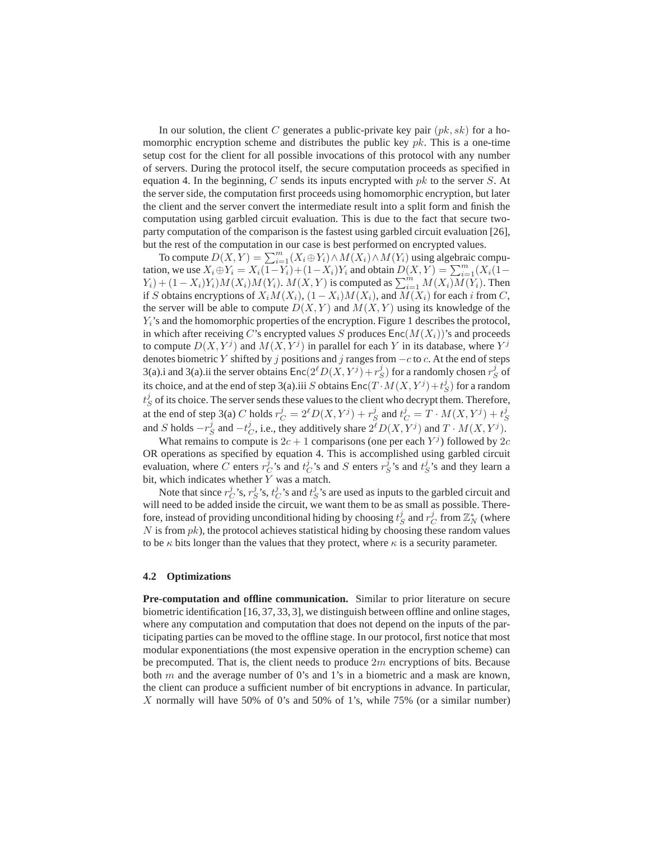In our solution, the client C generates a public-private key pair  $(pk, sk)$  for a homomorphic encryption scheme and distributes the public key  $pk$ . This is a one-time setup cost for the client for all possible invocations of this protocol with any number of servers. During the protocol itself, the secure computation proceeds as specified in equation 4. In the beginning,  $C$  sends its inputs encrypted with  $pk$  to the server  $S$ . At the server side, the computation first proceeds using homomorphic encryption, but later the client and the server convert the intermediate result into a split form and finish the computation using garbled circuit evaluation. This is due to the fact that secure twoparty computation of the comparison is the fastest using garbled circuit evaluation [26], but the rest of the computation in our case is best performed on encrypted values.

To compute  $D(X, Y) = \sum_{i=1}^{m} (X_i \oplus Y_i) \wedge M(X_i) \wedge M(Y_i)$  using algebraic computation, we use  $X_i \oplus Y_i = X_i(1-Y_i) + (1-X_i)Y_i$  and obtain  $D(X, Y) = \sum_{i=1}^m (X_i(1-Y_i))$  $Y_i) + (1 - X_i)Y_i M(X_i) M(Y_i)$ .  $M(X, Y)$  is computed as  $\sum_{i=1}^{m} M(X_i) M(Y_i)$ . Then if S obtains encryptions of  $X_iM(X_i)$ ,  $(1 - X_i)M(X_i)$ , and  $M(X_i)$  for each i from C, the server will be able to compute  $D(X, Y)$  and  $M(X, Y)$  using its knowledge of the  $Y_i$ 's and the homomorphic properties of the encryption. Figure 1 describes the protocol, in which after receiving C's encrypted values S produces  $Enc(M(X_i))$ 's and proceeds to compute  $D(X, Y<sup>j</sup>)$  and  $M(X, Y<sup>j</sup>)$  in parallel for each Y in its database, where  $Y<sup>j</sup>$ denotes biometric Y shifted by j positions and j ranges from  $-c$  to c. At the end of steps 3(a).i and 3(a).ii the server obtains  $Enc(2^{\ell}D(X, Y^j) + r_S^j)$  for a randomly chosen  $r_S^j$  of its choice, and at the end of step 3(a).iii S obtains  $\mathsf{Enc}(T \cdot M(X, Y^j) + t_S^j)$  for a random  $t_S^j$  of its choice. The server sends these values to the client who decrypt them. Therefore, at the end of step 3(a) C holds  $r_C^j = 2^{\ell}D(X, Y^j) + r_S^j$  and  $t_C^j = T \cdot M(X, Y^j) + t_S^j$ and S holds  $-r_S^j$  and  $-t_C^j$ , i.e., they additively share  $2^{\ell}D(X, Y^j)$  and  $T \cdot M(X, Y^j)$ .

What remains to compute is  $2c + 1$  comparisons (one per each  $Y^j$ ) followed by  $2c$ OR operations as specified by equation 4. This is accomplished using garbled circuit evaluation, where  $\overline{C}$  enters  $\overline{r}_C^j$ 's and  $\overline{t}_C^j$ 's and  $S$  enters  $\overline{r}_S^j$ 's and  $\overline{t}_S^j$ 's and they learn a bit, which indicates whether  $Y$  was a match.

Note that since  $r_C^j$ 's,  $r_S^j$ 's,  $t_C^j$ 's and  $t_S^j$ 's are used as inputs to the garbled circuit and will need to be added inside the circuit, we want them to be as small as possible. Therefore, instead of providing unconditional hiding by choosing  $t^j_S$  and  $r^j_C$  from  $\mathbb{Z}_N^*$  (where  $N$  is from  $pk$ ), the protocol achieves statistical hiding by choosing these random values to be  $\kappa$  bits longer than the values that they protect, where  $\kappa$  is a security parameter.

### **4.2 Optimizations**

**Pre-computation and offline communication.** Similar to prior literature on secure biometric identification [16, 37, 33, 3], we distinguish between offline and online stages, where any computation and computation that does not depend on the inputs of the participating parties can be moved to the offline stage. In our protocol, first notice that most modular exponentiations (the most expensive operation in the encryption scheme) can be precomputed. That is, the client needs to produce  $2m$  encryptions of bits. Because both m and the average number of 0's and 1's in a biometric and a mask are known, the client can produce a sufficient number of bit encryptions in advance. In particular, X normally will have 50% of 0's and 50% of 1's, while 75% (or a similar number)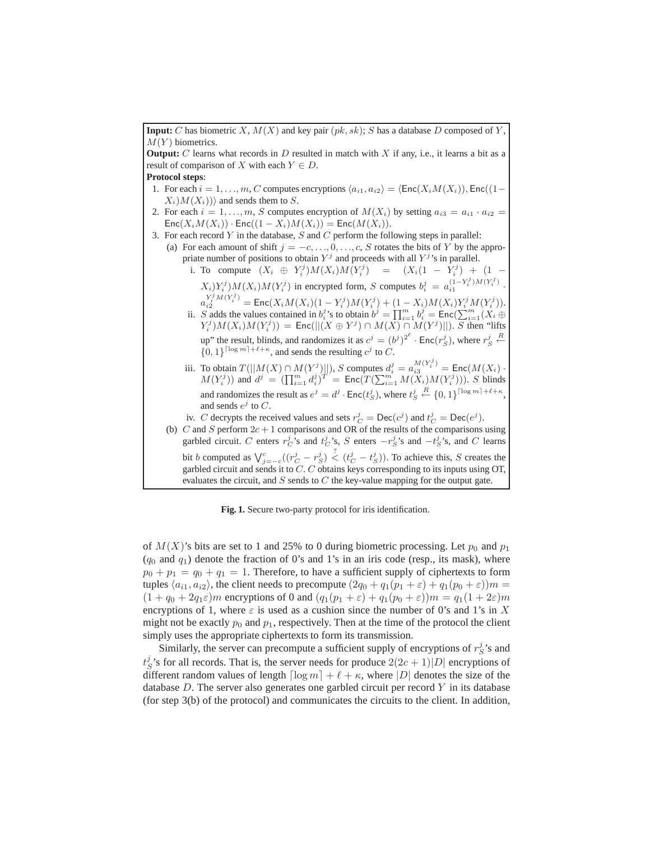**Input:** C has biometric X,  $M(X)$  and key pair  $(pk, sk)$ ; S has a database D composed of Y,  $M(Y)$  biometrics.

**Output:** C learns what records in D resulted in match with X if any, i.e., it learns a bit as a result of comparison of X with each  $Y \in D$ .

**Protocol steps**:

- 1. For each  $i = 1, ..., m, C$  computes encryptions  $\langle a_{i1}, a_{i2} \rangle = \langle \text{Enc}(X_i M(X_i)), \text{Enc}((1-\rangle)$  $X_i$ ) $M(X_i)$ ) and sends them to S.
- 2. For each  $i = 1, \ldots, m$ , S computes encryption of  $M(X_i)$  by setting  $a_{i3} = a_{i1} \cdot a_{i2} = a_{i2} \cdot a_{i3}$  $Enc(X_i M(X_i)) \cdot Enc((1 - X_i)M(X_i)) = Enc(M(X_i)).$
- 3. For each record  $Y$  in the database,  $S$  and  $C$  perform the following steps in parallel:
	- (a) For each amount of shift  $j = -c, \ldots, 0, \ldots, c, S$  rotates the bits of Y by the appropriate number of positions to obtain  $Y^j$  and proceeds with all  $Y^j$ 's in parallel.
		- i. To compute  $(X_i \oplus Y_i^j)M(X_i)M(Y_i^j) = (X_i(1 Y_i^j) + (1 X_i)Y_i^j$ )  $M(X_i)M(Y_i^j)$  in encrypted form, S computes  $b_i^j = a_{i1}^{(1-Y_i^j)M(Y_i^j)}$ .
		- $a_{i2}^{Y_i^j M(Y_i^j)} = \mathsf{Enc}(X_i M(X_i) (1-Y_i^j) M(Y_i^j) + (1-X_i) M(X_i) Y_i^j M(Y_i^j)).$ ii. S adds the values contained in  $b_i^j$ 's to obtain  $b^j = \prod_{i=1}^m b_i^j = \text{Enc}(\sum_{i=1}^m (X_i \oplus$  $(Y_i^j)M(X_i)M(Y_i^j)) = \mathsf{Enc}(||(X \oplus Y^j) \cap M(X) \cap M(Y^j) ||)$ . S then "lifts up" the result, blinds, and randomizes it as  $c^j = (b^j)^{2^{\ell}} \cdot \text{Enc}(r_S^j)$ , where  $r_S^j \stackrel{R}{\leftarrow}$  $\{0, 1\}^{\lceil \log m \rceil + \ell + \kappa}$ , and sends the resulting  $c^j$  to C.
		- iii. To obtain  $T(||M(X) \cap M(Y^j)||)$ , S computes  $d_i^j = a_{i3}^{M(Y_i^j)} = \text{Enc}(M(X_i) \cdot$  $M(Y_i^j)$ ) and  $d^j = (\prod_{i=1}^m d_i^j)^T = \text{Enc}(T(\sum_{i=1}^m M(X_i)M(Y_i^j)))$ . S blinds and randomizes the result as  $e^j = d^j \cdot \text{Enc}(t_S^j)$ , where  $t_S^j \stackrel{R}{\leftarrow} \{0,1\}^{\lceil \log m \rceil + \ell + \kappa}$ , and sends  $e^j$  to  $C$ .
		- iv. C decrypts the received values and sets  $r_C^j = \text{Dec}(c^j)$  and  $t_C^j = \text{Dec}(e^j)$ .
	- (b) C and S perform  $2c + 1$  comparisons and OR of the results of the comparisons using garbled circuit. C enters  $r_C^j$ 's and  $t_C^j$ 's, S enters  $-r_S^j$ 's and  $-t_S^j$ 's, and C learns bit b computed as  $\bigvee_{j=-c}^{c} ((r_C^j - r_S^j) \stackrel{?}{\leq} (t_C^j - t_S^j))$ . To achieve this, S creates the garbled circuit and sends it to C. C obtains keys corresponding to its inputs using OT, evaluates the circuit, and  $S$  sends to  $C$  the key-value mapping for the output gate.

**Fig. 1.** Secure two-party protocol for iris identification.

of  $M(X)$ 's bits are set to 1 and 25% to 0 during biometric processing. Let  $p_0$  and  $p_1$  $(q_0$  and  $q_1)$  denote the fraction of 0's and 1's in an iris code (resp., its mask), where  $p_0 + p_1 = q_0 + q_1 = 1$ . Therefore, to have a sufficient supply of ciphertexts to form tuples  $\langle a_{i1}, a_{i2} \rangle$ , the client needs to precompute  $(2q_0 + q_1(p_1 + \varepsilon) + q_1(p_0 + \varepsilon))m =$  $(1 + q_0 + 2q_1\varepsilon)m$  encryptions of 0 and  $(q_1(p_1 + \varepsilon) + q_1(p_0 + \varepsilon))m = q_1(1 + 2\varepsilon)m$ encryptions of 1, where  $\varepsilon$  is used as a cushion since the number of 0's and 1's in X might not be exactly  $p_0$  and  $p_1$ , respectively. Then at the time of the protocol the client simply uses the appropriate ciphertexts to form its transmission.

Similarly, the server can precompute a sufficient supply of encryptions of  $r_S^j$ 's and  $t_S^j$ 's for all records. That is, the server needs for produce  $2(2c+1)|D|$  encryptions of different random values of length  $\lceil \log m \rceil + \ell + \kappa$ , where  $|D|$  denotes the size of the database  $D$ . The server also generates one garbled circuit per record  $Y$  in its database (for step 3(b) of the protocol) and communicates the circuits to the client. In addition,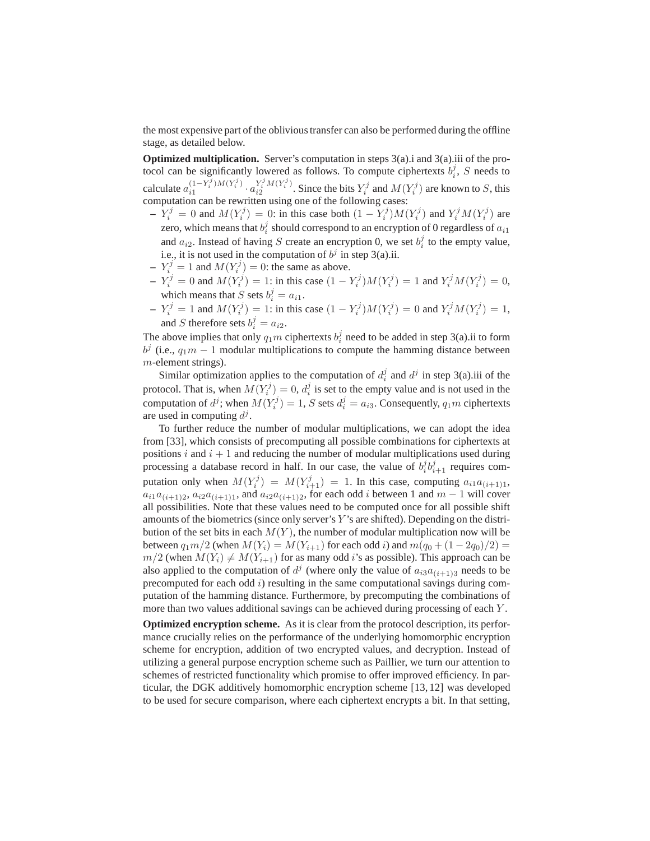the most expensive part of the oblivious transfer can also be performed during the offline stage, as detailed below.

**Optimized multiplication.** Server's computation in steps 3(a).i and 3(a).iii of the protocol can be significantly lowered as follows. To compute ciphertexts  $b_i^j$ , S needs to calculate  $a_{i1}^{(1-Y_i^j)M(Y_i^j)}$  $\frac{(1-Y_i^j)M(Y_i^j)}{i1} \cdot \frac{Y_i^j M(Y_i^j)}{i2}$  $X_i^j M(Y_i^j)$ . Since the bits  $Y_i^j$  and  $M(Y_i^j)$  are known to S, this computation can be rewritten using one of the following cases:

- $\hat{Y}_i^j = 0$  and  $M(Y_i^j) = 0$ : in this case both  $(1 Y_i^j)M(Y_i^j)$  and  $Y_i^jM(Y_i^j)$  are zero, which means that  $b_i^j$  should correspond to an encryption of  $0$  regardless of  $a_{i1}$ and  $a_{i2}$ . Instead of having S create an encryption 0, we set  $b_i^j$  to the empty value, i.e., it is not used in the computation of  $b^j$  in step 3(a).ii.
- $Y_i^j = 1$  and  $M(Y_i^j) = 0$ : the same as above.
- **–**  $Y_i^j = 0$  and  $M(Y_i^j) = 1$ : in this case  $(1 Y_i^j)M(Y_i^j) = 1$  and  $Y_i^jM(Y_i^j) = 0$ , which means that S sets  $b_i^j = a_{i1}$ .
- $Y_i^j = 1$  **and**  $M(Y_i^j) = 1$ **: in this case**  $(1 Y_i^j)M(Y_i^j) = 0$  **and**  $Y_i^jM(Y_i^j) = 1$ **,** and S therefore sets  $b_i^j = a_{i2}$ .

The above implies that only  $q_1m$  ciphertexts  $b_i^j$  need to be added in step 3(a).ii to form  $b^j$  (i.e.,  $q_1m-1$  modular multiplications to compute the hamming distance between m-element strings).

Similar optimization applies to the computation of  $d_i^j$  and  $d^j$  in step 3(a).iii of the protocol. That is, when  $M(Y_i^j) = 0$ ,  $d_i^j$  is set to the empty value and is not used in the computation of  $d^j$ ; when  $M(Y_i^j) = 1$ , S sets  $d_i^j = a_{i3}$ . Consequently,  $q_1 m$  ciphertexts are used in computing  $d^j$ .

To further reduce the number of modular multiplications, we can adopt the idea from [33], which consists of precomputing all possible combinations for ciphertexts at positions i and  $i + 1$  and reducing the number of modular multiplications used during processing a database record in half. In our case, the value of  $b_i^j b_{i+1}^j$  requires computation only when  $M(Y_i^j) = M(Y_{i+1}^j) = 1$ . In this case, computing  $a_{i1}a_{(i+1)1}$ ,  $a_{i1}a_{(i+1)2}, a_{i2}a_{(i+1)1}$ , and  $a_{i2}a_{(i+1)2}$ , for each odd i between 1 and  $m-1$  will cover all possibilities. Note that these values need to be computed once for all possible shift amounts of the biometrics (since only server's  $Y$ 's are shifted). Depending on the distribution of the set bits in each  $M(Y)$ , the number of modular multiplication now will be between  $q_1m/2$  (when  $M(Y_i) = M(Y_{i+1})$  for each odd i) and  $m(q_0 + (1 - 2q_0)/2)$  $m/2$  (when  $M(Y_i) \neq M(Y_{i+1})$  for as many odd *i*'s as possible). This approach can be also applied to the computation of  $d^j$  (where only the value of  $a_{i3}a_{(i+1)3}$  needs to be precomputed for each odd  $i$ ) resulting in the same computational savings during computation of the hamming distance. Furthermore, by precomputing the combinations of more than two values additional savings can be achieved during processing of each Y .

**Optimized encryption scheme.** As it is clear from the protocol description, its performance crucially relies on the performance of the underlying homomorphic encryption scheme for encryption, addition of two encrypted values, and decryption. Instead of utilizing a general purpose encryption scheme such as Paillier, we turn our attention to schemes of restricted functionality which promise to offer improved efficiency. In particular, the DGK additively homomorphic encryption scheme [13, 12] was developed to be used for secure comparison, where each ciphertext encrypts a bit. In that setting,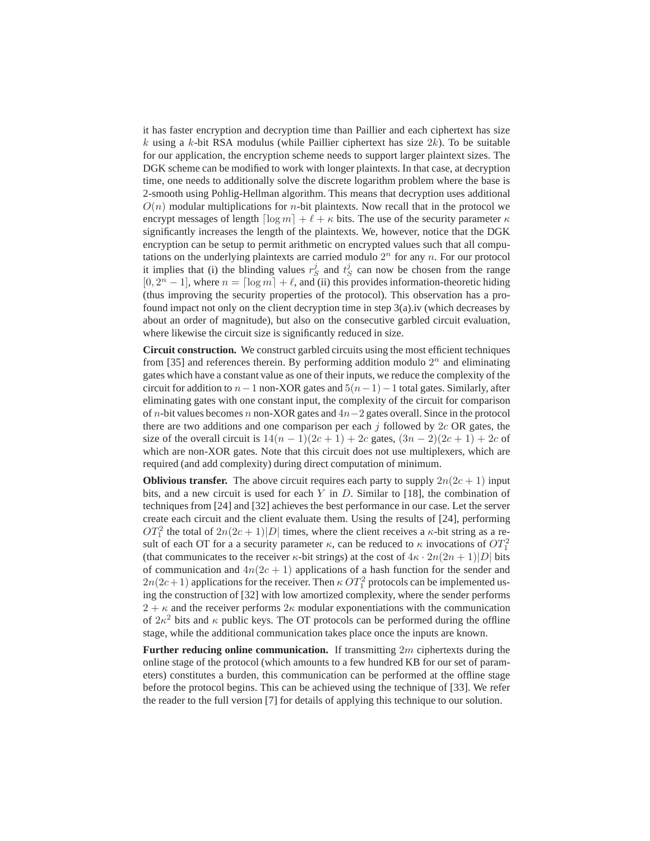it has faster encryption and decryption time than Paillier and each ciphertext has size k using a k-bit RSA modulus (while Paillier ciphertext has size  $2k$ ). To be suitable for our application, the encryption scheme needs to support larger plaintext sizes. The DGK scheme can be modified to work with longer plaintexts. In that case, at decryption time, one needs to additionally solve the discrete logarithm problem where the base is 2-smooth using Pohlig-Hellman algorithm. This means that decryption uses additional  $O(n)$  modular multiplications for *n*-bit plaintexts. Now recall that in the protocol we encrypt messages of length  $\lceil \log m \rceil + \ell + \kappa$  bits. The use of the security parameter  $\kappa$ significantly increases the length of the plaintexts. We, however, notice that the DGK encryption can be setup to permit arithmetic on encrypted values such that all computations on the underlying plaintexts are carried modulo  $2<sup>n</sup>$  for any n. For our protocol it implies that (i) the blinding values  $r_S^j$  and  $t_S^j$  can now be chosen from the range  $[0, 2<sup>n</sup> - 1]$ , where  $n = \lceil \log m \rceil + \ell$ , and (ii) this provides information-theoretic hiding (thus improving the security properties of the protocol). This observation has a profound impact not only on the client decryption time in step 3(a).iv (which decreases by about an order of magnitude), but also on the consecutive garbled circuit evaluation, where likewise the circuit size is significantly reduced in size.

**Circuit construction.** We construct garbled circuits using the most efficient techniques from [35] and references therein. By performing addition modulo  $2^n$  and eliminating gates which have a constant value as one of their inputs, we reduce the complexity of the circuit for addition to  $n-1$  non-XOR gates and  $5(n-1)-1$  total gates. Similarly, after eliminating gates with one constant input, the complexity of the circuit for comparison of n-bit values becomes n non-XOR gates and 4n−2 gates overall. Since in the protocol there are two additions and one comparison per each  $j$  followed by  $2c$  OR gates, the size of the overall circuit is  $14(n - 1)(2c + 1) + 2c$  gates,  $(3n - 2)(2c + 1) + 2c$  of which are non-XOR gates. Note that this circuit does not use multiplexers, which are required (and add complexity) during direct computation of minimum.

**Oblivious transfer.** The above circuit requires each party to supply  $2n(2c + 1)$  input bits, and a new circuit is used for each  $Y$  in  $D$ . Similar to [18], the combination of techniques from [24] and [32] achieves the best performance in our case. Let the server create each circuit and the client evaluate them. Using the results of [24], performing  $OT_1^2$  the total of  $2n(2c+1)|D|$  times, where the client receives a  $\kappa$ -bit string as a result of each OT for a a security parameter  $\kappa$ , can be reduced to  $\kappa$  invocations of  $OT_1^2$ (that communicates to the receiver  $\kappa$ -bit strings) at the cost of  $4\kappa \cdot 2n(2n+1)|D|$  bits of communication and  $4n(2c + 1)$  applications of a hash function for the sender and  $2n(2c+1)$  applications for the receiver. Then  $\kappa$   $OT_1^2$  protocols can be implemented using the construction of [32] with low amortized complexity, where the sender performs  $2 + \kappa$  and the receiver performs  $2\kappa$  modular exponentiations with the communication of  $2\kappa^2$  bits and  $\kappa$  public keys. The OT protocols can be performed during the offline stage, while the additional communication takes place once the inputs are known.

**Further reducing online communication.** If transmitting 2m ciphertexts during the online stage of the protocol (which amounts to a few hundred KB for our set of parameters) constitutes a burden, this communication can be performed at the offline stage before the protocol begins. This can be achieved using the technique of [33]. We refer the reader to the full version [7] for details of applying this technique to our solution.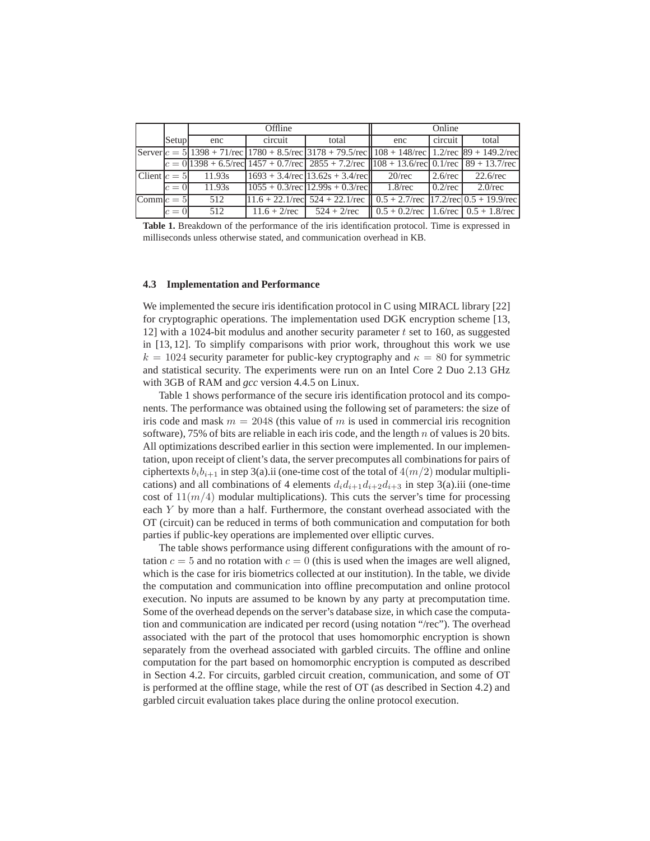|                |       |        | Offline         | Online                                                                                                                           |                                                 |            |             |
|----------------|-------|--------|-----------------|----------------------------------------------------------------------------------------------------------------------------------|-------------------------------------------------|------------|-------------|
|                | Setup | enc    | circuit         | total                                                                                                                            | enc                                             | circuit    | total       |
|                |       |        |                 | Server $c = 5$ 1398 + 71/rec 1780 + 8.5/rec 3178 + 79.5/rec 108 + 148/rec 1.2/rec 89 + 149.2/rec                                 |                                                 |            |             |
|                |       |        |                 | $c = 0.1398 + 6.5$ /rec 1457 + 0.7/rec 2855 + 7.2/rec 10.1/rec 10.1/rec 89 + 13.7/rec                                            |                                                 |            |             |
| Client $c = 5$ |       | 11.93s |                 | $1693 + 3.4$ /rec $13.62s + 3.4$ /rec                                                                                            | $20$ /rec                                       | $2.6$ /rec | $22.6$ /rec |
|                | $c=0$ | 11.93s |                 | $1055 + 0.3$ /rec $ 12.99s + 0.3$ /rec                                                                                           | $1.8$ /rec                                      | $0.2$ /rec | $2.0$ /rec  |
| $Comm c = 51$  |       | 512    |                 | $11.6 + 22.1$ /rec $524 + 22.1$ /rec $\begin{bmatrix} 0.5 + 2.7$ /rec $\begin{bmatrix} 17.2$ /rec $\end{bmatrix}$ 0.5 + 19.9/rec |                                                 |            |             |
|                | $c=0$ | 512    | $11.6 + 2$ /rec | $524 + 2$ /rec                                                                                                                   | $\vert$ 0.5 + 0.2/rec   1.6/rec   0.5 + 1.8/rec |            |             |

**Table 1.** Breakdown of the performance of the iris identification protocol. Time is expressed in milliseconds unless otherwise stated, and communication overhead in KB.

#### **4.3 Implementation and Performance**

We implemented the secure iris identification protocol in C using MIRACL library [22] for cryptographic operations. The implementation used DGK encryption scheme [13, 12] with a 1024-bit modulus and another security parameter  $t$  set to 160, as suggested in [13, 12]. To simplify comparisons with prior work, throughout this work we use  $k = 1024$  security parameter for public-key cryptography and  $\kappa = 80$  for symmetric and statistical security. The experiments were run on an Intel Core 2 Duo 2.13 GHz with 3GB of RAM and *gcc* version 4.4.5 on Linux.

Table 1 shows performance of the secure iris identification protocol and its components. The performance was obtained using the following set of parameters: the size of iris code and mask  $m = 2048$  (this value of m is used in commercial iris recognition software), 75% of bits are reliable in each iris code, and the length n of values is 20 bits. All optimizations described earlier in this section were implemented. In our implementation, upon receipt of client's data, the server precomputes all combinations for pairs of ciphertexts  $b_i b_{i+1}$  in step 3(a).ii (one-time cost of the total of  $4(m/2)$  modular multiplications) and all combinations of 4 elements  $d_i d_{i+1} d_{i+2} d_{i+3}$  in step 3(a).iii (one-time cost of  $11(m/4)$  modular multiplications). This cuts the server's time for processing each Y by more than a half. Furthermore, the constant overhead associated with the OT (circuit) can be reduced in terms of both communication and computation for both parties if public-key operations are implemented over elliptic curves.

The table shows performance using different configurations with the amount of rotation  $c = 5$  and no rotation with  $c = 0$  (this is used when the images are well aligned, which is the case for iris biometrics collected at our institution). In the table, we divide the computation and communication into offline precomputation and online protocol execution. No inputs are assumed to be known by any party at precomputation time. Some of the overhead depends on the server's database size, in which case the computation and communication are indicated per record (using notation "/rec"). The overhead associated with the part of the protocol that uses homomorphic encryption is shown separately from the overhead associated with garbled circuits. The offline and online computation for the part based on homomorphic encryption is computed as described in Section 4.2. For circuits, garbled circuit creation, communication, and some of OT is performed at the offline stage, while the rest of OT (as described in Section 4.2) and garbled circuit evaluation takes place during the online protocol execution.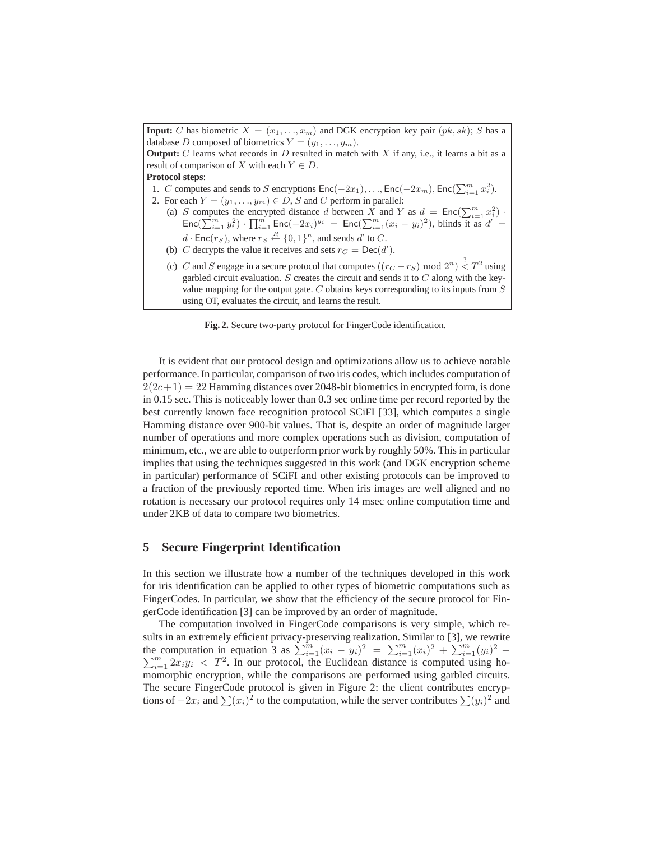**Input:** C has biometric  $X = (x_1, \ldots, x_m)$  and DGK encryption key pair  $(pk, sk)$ ; S has a database D composed of biometrics  $Y = (y_1, \ldots, y_m)$ . **Output:**  $C$  learns what records in  $D$  resulted in match with  $X$  if any, i.e., it learns a bit as a result of comparison of X with each  $Y \in D$ . **Protocol steps**: 1. C computes and sends to S encryptions  $\textsf{Enc}(-2x_1), \ldots, \textsf{Enc}(-2x_m), \textsf{Enc}(\sum_{i=1}^m x_i^2)$ . 2. For each  $Y = (y_1, \ldots, y_m) \in D$ , S and C perform in parallel: (a) S computes the encrypted distance d between X and Y as  $d = \text{Enc}(\sum_{i=1}^{m} x_i^2)$ .  $\textsf{Enc}(\sum_{i=1}^m y_i^2) \cdot \prod_{i=1}^m \textsf{Enc}(-2x_i)^{y_i} = \textsf{Enc}(\sum_{i=1}^m (x_i - y_i)^2)$ , blinds it as  $d' =$  $d \cdot \textsf{Enc}(rs)$ , where  $rs \stackrel{R}{\leftarrow} \{0,1\}^n$ , and sends  $d'$  to C. (b) C decrypts the value it receives and sets  $r_C = \text{Dec}(d')$ . (c) C and S engage in a secure protocol that computes  $((r_C - r_S) \mod 2^n) \stackrel{?}{\leq} T^2$  using garbled circuit evaluation.  $S$  creates the circuit and sends it to  $C$  along with the keyvalue mapping for the output gate. C obtains keys corresponding to its inputs from S using OT, evaluates the circuit, and learns the result.

**Fig. 2.** Secure two-party protocol for FingerCode identification.

It is evident that our protocol design and optimizations allow us to achieve notable performance. In particular, comparison of two iris codes, which includes computation of  $2(2c+1) = 22$  Hamming distances over 2048-bit biometrics in encrypted form, is done in 0.15 sec. This is noticeably lower than 0.3 sec online time per record reported by the best currently known face recognition protocol SCiFI [33], which computes a single Hamming distance over 900-bit values. That is, despite an order of magnitude larger number of operations and more complex operations such as division, computation of minimum, etc., we are able to outperform prior work by roughly 50%. This in particular implies that using the techniques suggested in this work (and DGK encryption scheme in particular) performance of SCiFI and other existing protocols can be improved to a fraction of the previously reported time. When iris images are well aligned and no rotation is necessary our protocol requires only 14 msec online computation time and under 2KB of data to compare two biometrics.

# **5 Secure Fingerprint Identification**

In this section we illustrate how a number of the techniques developed in this work for iris identification can be applied to other types of biometric computations such as FingerCodes. In particular, we show that the efficiency of the secure protocol for FingerCode identification [3] can be improved by an order of magnitude.

The computation involved in FingerCode comparisons is very simple, which results in an extremely efficient privacy-preserving realization. Similar to [3], we rewrite the computation in equation 3 as  $\sum_{i=1}^{m} (x_i - y_i)^2 = \sum_{i=1}^{m} (x_i)^2 + \sum_{i=1}^{m} (y_i)^2$  $\sum$ e computation in equation 3 as  $\sum_{i=1}^{m} (x_i - y_i)^2 = \sum_{i=1}^{m} (x_i)^2 + \sum_{i=1}^{m} (y_i)^2 - \sum_{i=1}^{m} 2x_i y_i < T^2$ . In our protocol, the Euclidean distance is computed using homomorphic encryption, while the comparisons are performed using garbled circuits. The secure FingerCode protocol is given in Figure 2: the client contributes encryptions of  $-2x_i$  and  $\sum (x_i)^2$  to the computation, while the server contributes  $\sum (y_i)^2$  and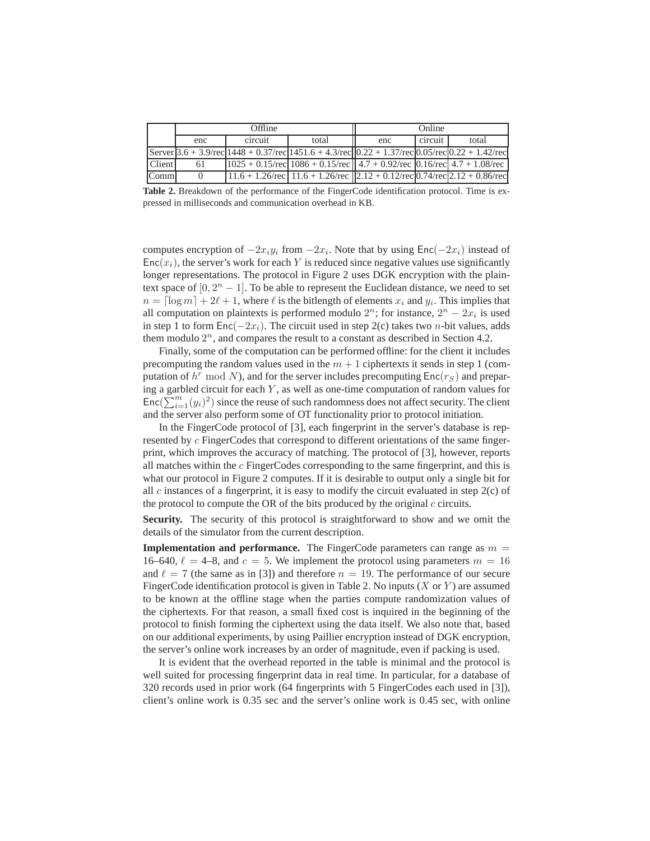|                     |     | Offline |                                                                                                                                                                                                      | Online |           |       |
|---------------------|-----|---------|------------------------------------------------------------------------------------------------------------------------------------------------------------------------------------------------------|--------|-----------|-------|
|                     | enc | circuit | total                                                                                                                                                                                                | enc    | circuit l | total |
|                     |     |         | $\text{Server} \left[ 3.6 + 3.9 \text{/rec} \right] 1448 + 0.37 \text{/rec} \left[ 1451.6 + 4.3 \text{/rec} \right] 0.22 + 1.37 \text{/rec} \left[ 0.05 \text{/rec} \right] 0.22 + 1.42 \text{/rec}$ |        |           |       |
| Client <sup>1</sup> | 61  |         | $1025 + 0.15$ /rec $1086 + 0.15$ /rec $\vert 4.7 + 0.92$ /rec $\vert 0.16$ /rec $\vert 4.7 + 1.08$ /rec                                                                                              |        |           |       |
| Comm                |     |         | $11.6 + 1.26$ /rec $11.6 + 1.26$ /rec $2.12 + 0.12$ /rec $0.74$ /rec $2.12 + 0.86$ /rec                                                                                                              |        |           |       |

**Table 2.** Breakdown of the performance of the FingerCode identification protocol. Time is expressed in milliseconds and communication overhead in KB.

computes encryption of  $-2x_iy_i$  from  $-2x_i$ . Note that by using  $Enc(-2x_i)$  instead of  $Enc(x_i)$ , the server's work for each Y is reduced since negative values use significantly longer representations. The protocol in Figure 2 uses DGK encryption with the plaintext space of  $[0, 2<sup>n</sup> - 1]$ . To be able to represent the Euclidean distance, we need to set  $n = \lceil \log m \rceil + 2\ell + 1$ , where  $\ell$  is the bitlength of elements  $x_i$  and  $y_i$ . This implies that all computation on plaintexts is performed modulo  $2^n$ ; for instance,  $2^n - 2x_i$  is used in step 1 to form  $Enc(-2x_i)$ . The circuit used in step 2(c) takes two *n*-bit values, adds them modulo  $2^n$ , and compares the result to a constant as described in Section 4.2.

Finally, some of the computation can be performed offline: for the client it includes precomputing the random values used in the  $m + 1$  ciphertexts it sends in step 1 (computation of  $h^r$  mod N), and for the server includes precomputing  $Enc(r_S)$  and preparing a garbled circuit for each  $Y$ , as well as one-time computation of random values for  $\text{Enc}(\sum_{i=1}^{m} (y_i)^2)$  since the reuse of such randomness does not affect security. The client and the server also perform some of OT functionality prior to protocol initiation.

In the FingerCode protocol of [3], each fingerprint in the server's database is represented by c FingerCodes that correspond to different orientations of the same fingerprint, which improves the accuracy of matching. The protocol of [3], however, reports all matches within the  $c$  FingerCodes corresponding to the same fingerprint, and this is what our protocol in Figure 2 computes. If it is desirable to output only a single bit for all  $c$  instances of a fingerprint, it is easy to modify the circuit evaluated in step  $2(c)$  of the protocol to compute the OR of the bits produced by the original  $c$  circuits.

**Security.** The security of this protocol is straightforward to show and we omit the details of the simulator from the current description.

**Implementation and performance.** The FingerCode parameters can range as  $m =$ 16–640,  $\ell = 4$ –8, and  $c = 5$ . We implement the protocol using parameters  $m = 16$ and  $\ell = 7$  (the same as in [3]) and therefore  $n = 19$ . The performance of our secure FingerCode identification protocol is given in Table 2. No inputs  $(X \text{ or } Y)$  are assumed to be known at the offline stage when the parties compute randomization values of the ciphertexts. For that reason, a small fixed cost is inquired in the beginning of the protocol to finish forming the ciphertext using the data itself. We also note that, based on our additional experiments, by using Paillier encryption instead of DGK encryption, the server's online work increases by an order of magnitude, even if packing is used.

It is evident that the overhead reported in the table is minimal and the protocol is well suited for processing fingerprint data in real time. In particular, for a database of 320 records used in prior work (64 fingerprints with 5 FingerCodes each used in [3]), client's online work is 0.35 sec and the server's online work is 0.45 sec, with online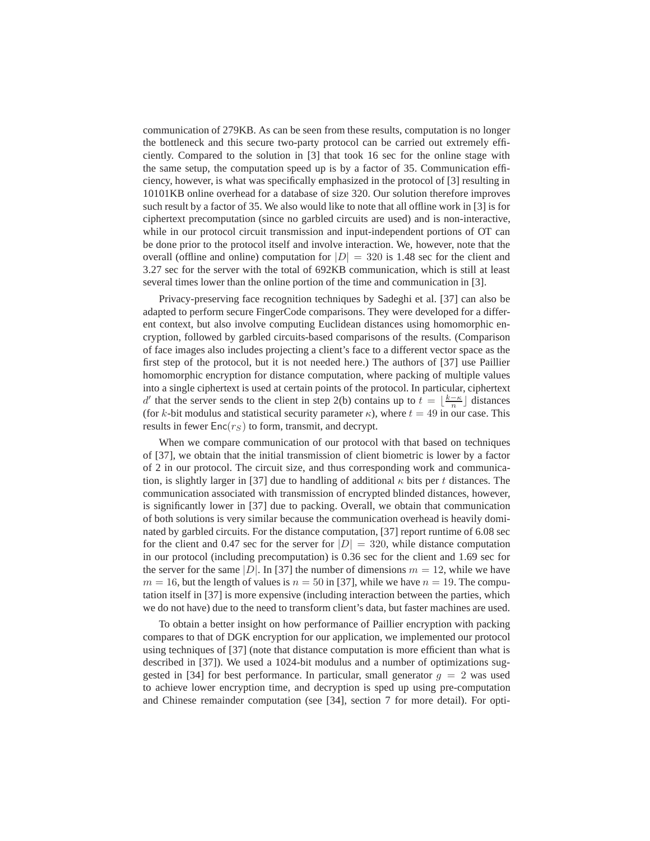communication of 279KB. As can be seen from these results, computation is no longer the bottleneck and this secure two-party protocol can be carried out extremely efficiently. Compared to the solution in [3] that took 16 sec for the online stage with the same setup, the computation speed up is by a factor of 35. Communication efficiency, however, is what was specifically emphasized in the protocol of [3] resulting in 10101KB online overhead for a database of size 320. Our solution therefore improves such result by a factor of 35. We also would like to note that all offline work in [3] is for ciphertext precomputation (since no garbled circuits are used) and is non-interactive, while in our protocol circuit transmission and input-independent portions of OT can be done prior to the protocol itself and involve interaction. We, however, note that the overall (offline and online) computation for  $|D| = 320$  is 1.48 sec for the client and 3.27 sec for the server with the total of 692KB communication, which is still at least several times lower than the online portion of the time and communication in [3].

Privacy-preserving face recognition techniques by Sadeghi et al. [37] can also be adapted to perform secure FingerCode comparisons. They were developed for a different context, but also involve computing Euclidean distances using homomorphic encryption, followed by garbled circuits-based comparisons of the results. (Comparison of face images also includes projecting a client's face to a different vector space as the first step of the protocol, but it is not needed here.) The authors of [37] use Paillier homomorphic encryption for distance computation, where packing of multiple values into a single ciphertext is used at certain points of the protocol. In particular, ciphertext d' that the server sends to the client in step 2(b) contains up to  $t = \lfloor \frac{k-\kappa}{n} \rfloor$  distances (for k-bit modulus and statistical security parameter  $\kappa$ ), where  $t = 49$  in our case. This results in fewer  $Enc(r<sub>S</sub>)$  to form, transmit, and decrypt.

When we compare communication of our protocol with that based on techniques of [37], we obtain that the initial transmission of client biometric is lower by a factor of 2 in our protocol. The circuit size, and thus corresponding work and communication, is slightly larger in [37] due to handling of additional  $\kappa$  bits per t distances. The communication associated with transmission of encrypted blinded distances, however, is significantly lower in [37] due to packing. Overall, we obtain that communication of both solutions is very similar because the communication overhead is heavily dominated by garbled circuits. For the distance computation, [37] report runtime of 6.08 sec for the client and 0.47 sec for the server for  $|D| = 320$ , while distance computation in our protocol (including precomputation) is 0.36 sec for the client and 1.69 sec for the server for the same |D|. In [37] the number of dimensions  $m = 12$ , while we have  $m = 16$ , but the length of values is  $n = 50$  in [37], while we have  $n = 19$ . The computation itself in [37] is more expensive (including interaction between the parties, which we do not have) due to the need to transform client's data, but faster machines are used.

To obtain a better insight on how performance of Paillier encryption with packing compares to that of DGK encryption for our application, we implemented our protocol using techniques of [37] (note that distance computation is more efficient than what is described in [37]). We used a 1024-bit modulus and a number of optimizations suggested in [34] for best performance. In particular, small generator  $q = 2$  was used to achieve lower encryption time, and decryption is sped up using pre-computation and Chinese remainder computation (see [34], section 7 for more detail). For opti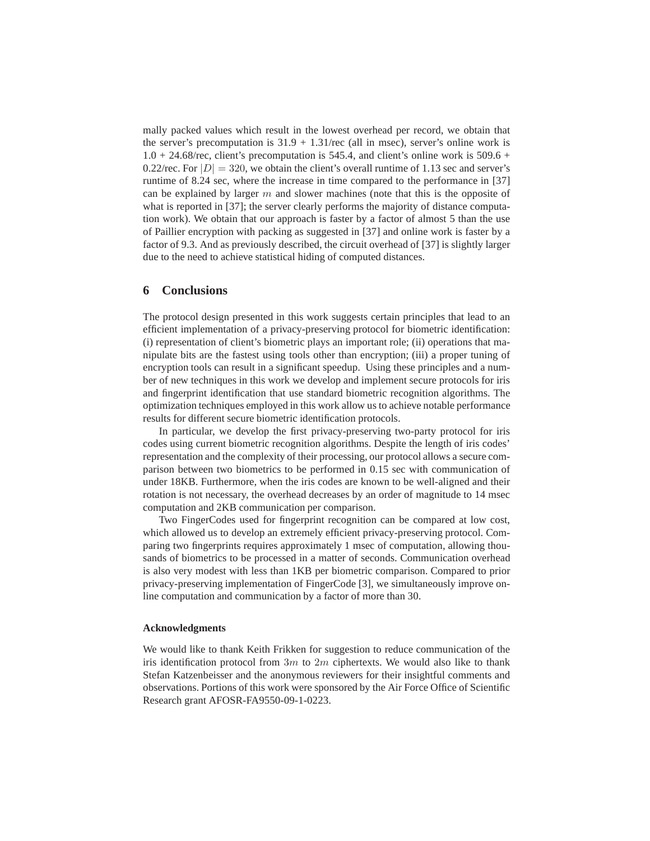mally packed values which result in the lowest overhead per record, we obtain that the server's precomputation is  $31.9 + 1.31$ /rec (all in msec), server's online work is  $1.0 + 24.68$ /rec, client's precomputation is 545.4, and client's online work is 509.6 + 0.22/rec. For  $|D| = 320$ , we obtain the client's overall runtime of 1.13 sec and server's runtime of 8.24 sec, where the increase in time compared to the performance in [37] can be explained by larger  $m$  and slower machines (note that this is the opposite of what is reported in [37]; the server clearly performs the majority of distance computation work). We obtain that our approach is faster by a factor of almost 5 than the use of Paillier encryption with packing as suggested in [37] and online work is faster by a factor of 9.3. And as previously described, the circuit overhead of [37] is slightly larger due to the need to achieve statistical hiding of computed distances.

# **6 Conclusions**

The protocol design presented in this work suggests certain principles that lead to an efficient implementation of a privacy-preserving protocol for biometric identification: (i) representation of client's biometric plays an important role; (ii) operations that manipulate bits are the fastest using tools other than encryption; (iii) a proper tuning of encryption tools can result in a significant speedup. Using these principles and a number of new techniques in this work we develop and implement secure protocols for iris and fingerprint identification that use standard biometric recognition algorithms. The optimization techniques employed in this work allow us to achieve notable performance results for different secure biometric identification protocols.

In particular, we develop the first privacy-preserving two-party protocol for iris codes using current biometric recognition algorithms. Despite the length of iris codes' representation and the complexity of their processing, our protocol allows a secure comparison between two biometrics to be performed in 0.15 sec with communication of under 18KB. Furthermore, when the iris codes are known to be well-aligned and their rotation is not necessary, the overhead decreases by an order of magnitude to 14 msec computation and 2KB communication per comparison.

Two FingerCodes used for fingerprint recognition can be compared at low cost, which allowed us to develop an extremely efficient privacy-preserving protocol. Comparing two fingerprints requires approximately 1 msec of computation, allowing thousands of biometrics to be processed in a matter of seconds. Communication overhead is also very modest with less than 1KB per biometric comparison. Compared to prior privacy-preserving implementation of FingerCode [3], we simultaneously improve online computation and communication by a factor of more than 30.

#### **Acknowledgments**

We would like to thank Keith Frikken for suggestion to reduce communication of the iris identification protocol from  $3m$  to  $2m$  ciphertexts. We would also like to thank Stefan Katzenbeisser and the anonymous reviewers for their insightful comments and observations. Portions of this work were sponsored by the Air Force Office of Scientific Research grant AFOSR-FA9550-09-1-0223.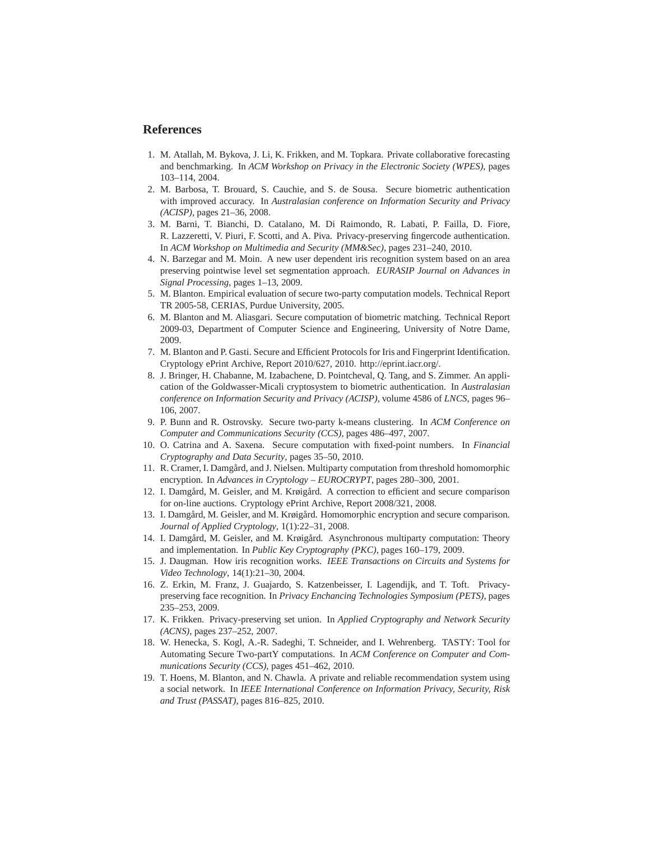# **References**

- 1. M. Atallah, M. Bykova, J. Li, K. Frikken, and M. Topkara. Private collaborative forecasting and benchmarking. In *ACM Workshop on Privacy in the Electronic Society (WPES)*, pages 103–114, 2004.
- 2. M. Barbosa, T. Brouard, S. Cauchie, and S. de Sousa. Secure biometric authentication with improved accuracy. In *Australasian conference on Information Security and Privacy (ACISP)*, pages 21–36, 2008.
- 3. M. Barni, T. Bianchi, D. Catalano, M. Di Raimondo, R. Labati, P. Failla, D. Fiore, R. Lazzeretti, V. Piuri, F. Scotti, and A. Piva. Privacy-preserving fingercode authentication. In *ACM Workshop on Multimedia and Security (MM&Sec)*, pages 231–240, 2010.
- 4. N. Barzegar and M. Moin. A new user dependent iris recognition system based on an area preserving pointwise level set segmentation approach. *EURASIP Journal on Advances in Signal Processing*, pages 1–13, 2009.
- 5. M. Blanton. Empirical evaluation of secure two-party computation models. Technical Report TR 2005-58, CERIAS, Purdue University, 2005.
- 6. M. Blanton and M. Aliasgari. Secure computation of biometric matching. Technical Report 2009-03, Department of Computer Science and Engineering, University of Notre Dame, 2009.
- 7. M. Blanton and P. Gasti. Secure and Efficient Protocols for Iris and Fingerprint Identification. Cryptology ePrint Archive, Report 2010/627, 2010. http://eprint.iacr.org/.
- 8. J. Bringer, H. Chabanne, M. Izabachene, D. Pointcheval, Q. Tang, and S. Zimmer. An application of the Goldwasser-Micali cryptosystem to biometric authentication. In *Australasian conference on Information Security and Privacy (ACISP)*, volume 4586 of *LNCS*, pages 96– 106, 2007.
- 9. P. Bunn and R. Ostrovsky. Secure two-party k-means clustering. In *ACM Conference on Computer and Communications Security (CCS)*, pages 486–497, 2007.
- 10. O. Catrina and A. Saxena. Secure computation with fixed-point numbers. In *Financial Cryptography and Data Security*, pages 35–50, 2010.
- 11. R. Cramer, I. Damgård, and J. Nielsen. Multiparty computation from threshold homomorphic encryption. In *Advances in Cryptology – EUROCRYPT*, pages 280–300, 2001.
- 12. I. Damgård, M. Geisler, and M. Krøigård. A correction to efficient and secure comparison for on-line auctions. Cryptology ePrint Archive, Report 2008/321, 2008.
- 13. I. Damgård, M. Geisler, and M. Krøigård. Homomorphic encryption and secure comparison. *Journal of Applied Cryptology*, 1(1):22–31, 2008.
- 14. I. Damgård, M. Geisler, and M. Krøigård. Asynchronous multiparty computation: Theory and implementation. In *Public Key Cryptography (PKC)*, pages 160–179, 2009.
- 15. J. Daugman. How iris recognition works. *IEEE Transactions on Circuits and Systems for Video Technology*, 14(1):21–30, 2004.
- 16. Z. Erkin, M. Franz, J. Guajardo, S. Katzenbeisser, I. Lagendijk, and T. Toft. Privacypreserving face recognition. In *Privacy Enchancing Technologies Symposium (PETS)*, pages 235–253, 2009.
- 17. K. Frikken. Privacy-preserving set union. In *Applied Cryptography and Network Security (ACNS)*, pages 237–252, 2007.
- 18. W. Henecka, S. Kogl, A.-R. Sadeghi, T. Schneider, and I. Wehrenberg. TASTY: Tool for Automating Secure Two-partY computations. In *ACM Conference on Computer and Communications Security (CCS)*, pages 451–462, 2010.
- 19. T. Hoens, M. Blanton, and N. Chawla. A private and reliable recommendation system using a social network. In *IEEE International Conference on Information Privacy, Security, Risk and Trust (PASSAT)*, pages 816–825, 2010.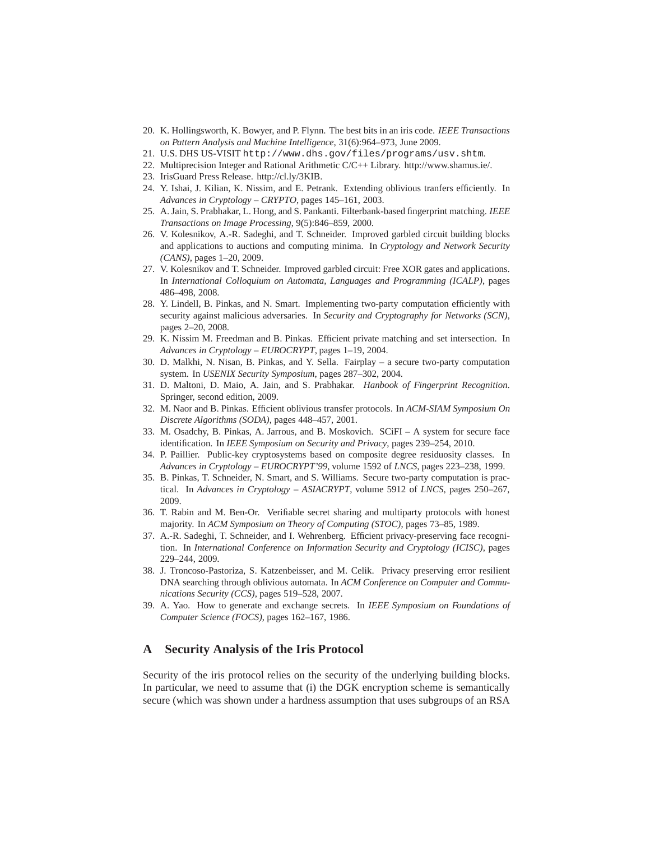- 20. K. Hollingsworth, K. Bowyer, and P. Flynn. The best bits in an iris code. *IEEE Transactions on Pattern Analysis and Machine Intelligence*, 31(6):964–973, June 2009.
- 21. U.S. DHS US-VISIT http://www.dhs.gov/files/programs/usv.shtm.
- 22. Multiprecision Integer and Rational Arithmetic C/C++ Library. http://www.shamus.ie/.
- 23. IrisGuard Press Release. http://cl.ly/3KIB.
- 24. Y. Ishai, J. Kilian, K. Nissim, and E. Petrank. Extending oblivious tranfers efficiently. In *Advances in Cryptology – CRYPTO*, pages 145–161, 2003.
- 25. A. Jain, S. Prabhakar, L. Hong, and S. Pankanti. Filterbank-based fingerprint matching. *IEEE Transactions on Image Processing*, 9(5):846–859, 2000.
- 26. V. Kolesnikov, A.-R. Sadeghi, and T. Schneider. Improved garbled circuit building blocks and applications to auctions and computing minima. In *Cryptology and Network Security (CANS)*, pages 1–20, 2009.
- 27. V. Kolesnikov and T. Schneider. Improved garbled circuit: Free XOR gates and applications. In *International Colloquium on Automata, Languages and Programming (ICALP)*, pages 486–498, 2008.
- 28. Y. Lindell, B. Pinkas, and N. Smart. Implementing two-party computation efficiently with security against malicious adversaries. In *Security and Cryptography for Networks (SCN)*, pages 2–20, 2008.
- 29. K. Nissim M. Freedman and B. Pinkas. Efficient private matching and set intersection. In *Advances in Cryptology – EUROCRYPT*, pages 1–19, 2004.
- 30. D. Malkhi, N. Nisan, B. Pinkas, and Y. Sella. Fairplay a secure two-party computation system. In *USENIX Security Symposium*, pages 287–302, 2004.
- 31. D. Maltoni, D. Maio, A. Jain, and S. Prabhakar. *Hanbook of Fingerprint Recognition*. Springer, second edition, 2009.
- 32. M. Naor and B. Pinkas. Efficient oblivious transfer protocols. In *ACM-SIAM Symposium On Discrete Algorithms (SODA)*, pages 448–457, 2001.
- 33. M. Osadchy, B. Pinkas, A. Jarrous, and B. Moskovich. SCiFI A system for secure face identification. In *IEEE Symposium on Security and Privacy*, pages 239–254, 2010.
- 34. P. Paillier. Public-key cryptosystems based on composite degree residuosity classes. In *Advances in Cryptology – EUROCRYPT'99*, volume 1592 of *LNCS*, pages 223–238, 1999.
- 35. B. Pinkas, T. Schneider, N. Smart, and S. Williams. Secure two-party computation is practical. In *Advances in Cryptology – ASIACRYPT*, volume 5912 of *LNCS*, pages 250–267, 2009.
- 36. T. Rabin and M. Ben-Or. Verifiable secret sharing and multiparty protocols with honest majority. In *ACM Symposium on Theory of Computing (STOC)*, pages 73–85, 1989.
- 37. A.-R. Sadeghi, T. Schneider, and I. Wehrenberg. Efficient privacy-preserving face recognition. In *International Conference on Information Security and Cryptology (ICISC)*, pages 229–244, 2009.
- 38. J. Troncoso-Pastoriza, S. Katzenbeisser, and M. Celik. Privacy preserving error resilient DNA searching through oblivious automata. In *ACM Conference on Computer and Communications Security (CCS)*, pages 519–528, 2007.
- 39. A. Yao. How to generate and exchange secrets. In *IEEE Symposium on Foundations of Computer Science (FOCS)*, pages 162–167, 1986.

## **A Security Analysis of the Iris Protocol**

Security of the iris protocol relies on the security of the underlying building blocks. In particular, we need to assume that (i) the DGK encryption scheme is semantically secure (which was shown under a hardness assumption that uses subgroups of an RSA